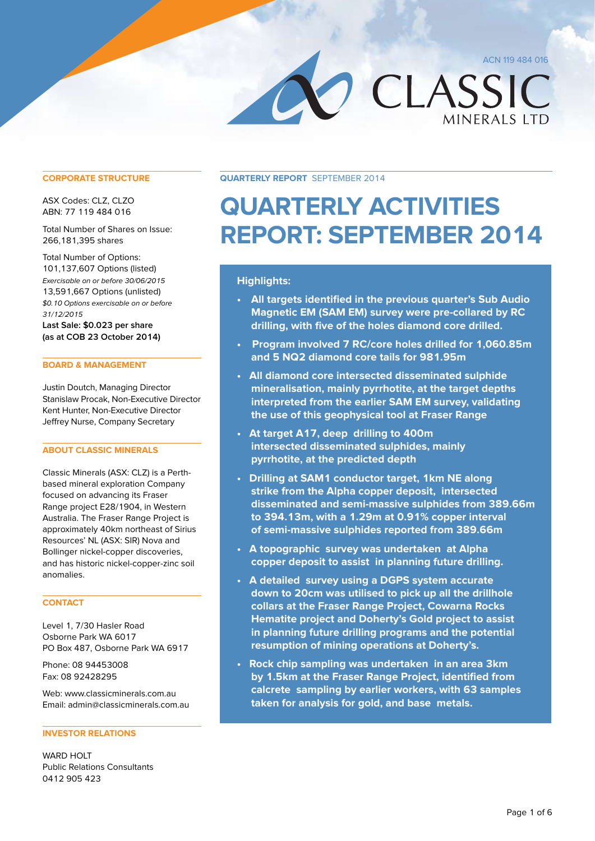ACN 119 484 016

**MINERALS LTD** 

CLASSIC

**CORPORATE STRUCTURE**

ASX Codes: CLZ, CLZO ABN: 77 119 484 016

Total Number of Shares on Issue: 266,181,395 shares

Total Number of Options: 101,137,607 Options (listed) Exercisable on or before 30/06/2015 13,591,667 Options (unlisted) \$0.10 Options exercisable on or before 31/12/2015

**Last Sale: \$0.023 per share (as at COB 23 October 2014)**

### **BOARD & MANAGEMENT**

Justin Doutch, Managing Director Stanislaw Procak, Non-Executive Director Kent Hunter, Non-Executive Director Jeffrey Nurse, Company Secretary

### **ABOUT CLASSIC MINERALS**

Classic Minerals (ASX: CLZ) is a Perthbased mineral exploration Company focused on advancing its Fraser Range project E28/1904, in Western Australia. The Fraser Range Project is approximately 40km northeast of Sirius Resources' NL (ASX: SIR) Nova and Bollinger nickel-copper discoveries, and has historic nickel-copper-zinc soil anomalies.

### **CONTACT**

Level 1, 7/30 Hasler Road Osborne Park WA 6017 PO Box 487, Osborne Park WA 6917

Phone: 08 94453008 Fax: 08 92428295

Web: www.classicminerals.com.au Email: admin@classicminerals.com.au

#### **INVESTOR RELATIONS**

WARD HOLT Public Relations Consultants 0412 905 423

**Quarterly Report** September 2014

# **Quarterly Activities Report: September 2014**

### **Highlights:**

- **• All targets identified in the previous quarter's Sub Audio Magnetic EM (SAM EM) survey were pre-collared by RC drilling, with five of the holes diamond core drilled.**
- **Program involved 7 RC/core holes drilled for 1,060.85m and 5 NQ2 diamond core tails for 981.95m**
- **All diamond core intersected disseminated sulphide mineralisation, mainly pyrrhotite, at the target depths interpreted from the earlier SAM EM survey, validating the use of this geophysical tool at Fraser Range**
- **At target A17, deep drilling to 400m intersected disseminated sulphides, mainly pyrrhotite, at the predicted depth**
- **Drilling at SAM1 conductor target, 1km NE along strike from the Alpha copper deposit, intersected disseminated and semi-massive sulphides from 389.66m to 394.13m, with a 1.29m at 0.91% copper interval of semi-massive sulphides reported from 389.66m**
- **A topographic survey was undertaken at Alpha copper deposit to assist in planning future drilling.**
- **A detailed survey using a DGPS system accurate down to 20cm was utilised to pick up all the drillhole collars at the Fraser Range Project, Cowarna Rocks Hematite project and Doherty's Gold project to assist in planning future drilling programs and the potential resumption of mining operations at Doherty's.**
- **Rock chip sampling was undertaken in an area 3km by 1.5km at the Fraser Range Project, identified from calcrete sampling by earlier workers, with 63 samples taken for analysis for gold, and base metals.**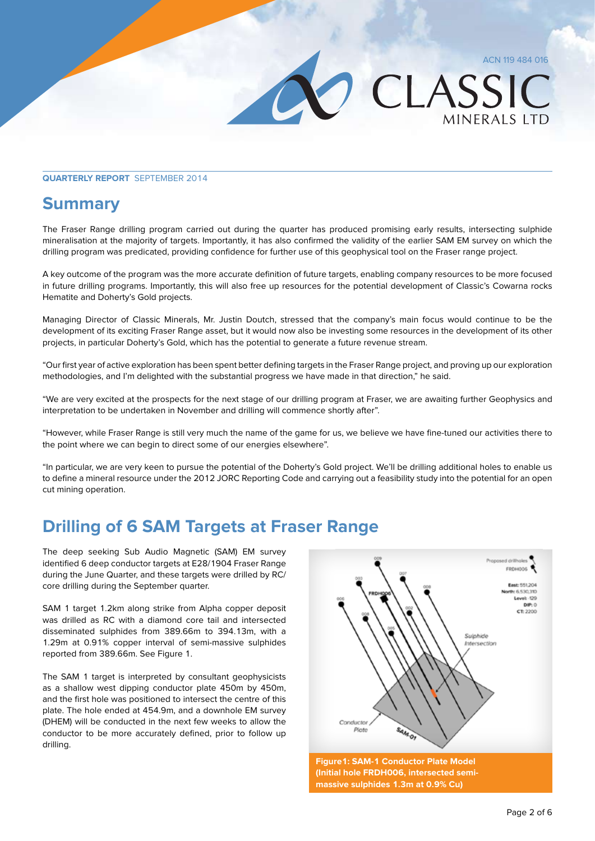### ACN 119 484 016

MINERALS LTD

CLASSIC

### **Quarterly Report** September 2014

### **Summary**

The Fraser Range drilling program carried out during the quarter has produced promising early results, intersecting sulphide mineralisation at the majority of targets. Importantly, it has also confirmed the validity of the earlier SAM EM survey on which the drilling program was predicated, providing confidence for further use of this geophysical tool on the Fraser range project.

A key outcome of the program was the more accurate definition of future targets, enabling company resources to be more focused in future drilling programs. Importantly, this will also free up resources for the potential development of Classic's Cowarna rocks Hematite and Doherty's Gold projects.

Managing Director of Classic Minerals, Mr. Justin Doutch, stressed that the company's main focus would continue to be the development of its exciting Fraser Range asset, but it would now also be investing some resources in the development of its other projects, in particular Doherty's Gold, which has the potential to generate a future revenue stream.

"Our first year of active exploration has been spent better defining targets in the Fraser Range project, and proving up our exploration methodologies, and I'm delighted with the substantial progress we have made in that direction," he said.

"We are very excited at the prospects for the next stage of our drilling program at Fraser, we are awaiting further Geophysics and interpretation to be undertaken in November and drilling will commence shortly after".

"However, while Fraser Range is still very much the name of the game for us, we believe we have fine-tuned our activities there to the point where we can begin to direct some of our energies elsewhere".

"In particular, we are very keen to pursue the potential of the Doherty's Gold project. We'll be drilling additional holes to enable us to define a mineral resource under the 2012 JORC Reporting Code and carrying out a feasibility study into the potential for an open cut mining operation.

### **Drilling of 6 SAM Targets at Fraser Range**

The deep seeking Sub Audio Magnetic (SAM) EM survey identified 6 deep conductor targets at E28/1904 Fraser Range during the June Quarter, and these targets were drilled by RC/ core drilling during the September quarter.

SAM 1 target 1.2km along strike from Alpha copper deposit was drilled as RC with a diamond core tail and intersected disseminated sulphides from 389.66m to 394.13m, with a 1.29m at 0.91% copper interval of semi-massive sulphides reported from 389.66m. See Figure 1.

The SAM 1 target is interpreted by consultant geophysicists as a shallow west dipping conductor plate 450m by 450m, and the first hole was positioned to intersect the centre of this plate. The hole ended at 454.9m, and a downhole EM survey (DHEM) will be conducted in the next few weeks to allow the conductor to be more accurately defined, prior to follow up drilling.

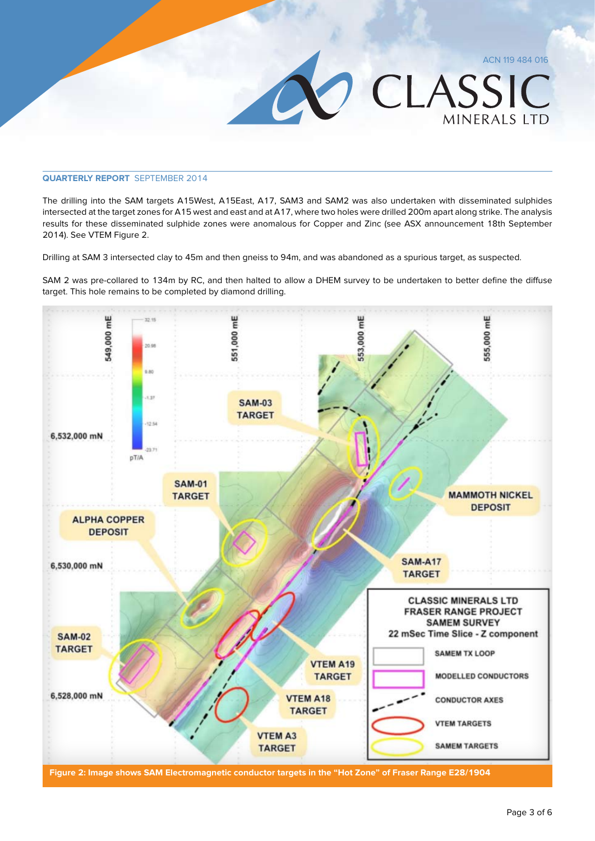### **Quarterly Report** September 2014

The drilling into the SAM targets A15West, A15East, A17, SAM3 and SAM2 was also undertaken with disseminated sulphides intersected at the target zones for A15 west and east and at A17, where two holes were drilled 200m apart along strike. The analysis results for these disseminated sulphide zones were anomalous for Copper and Zinc (see ASX announcement 18th September 2014). See VTEM Figure 2.

Drilling at SAM 3 intersected clay to 45m and then gneiss to 94m, and was abandoned as a spurious target, as suspected.

SAM 2 was pre-collared to 134m by RC, and then halted to allow a DHEM survey to be undertaken to better define the diffuse target. This hole remains to be completed by diamond drilling.



Page 3 of 6

ACN 119 484 016

**MINFRALS LTD** 

CLASSIC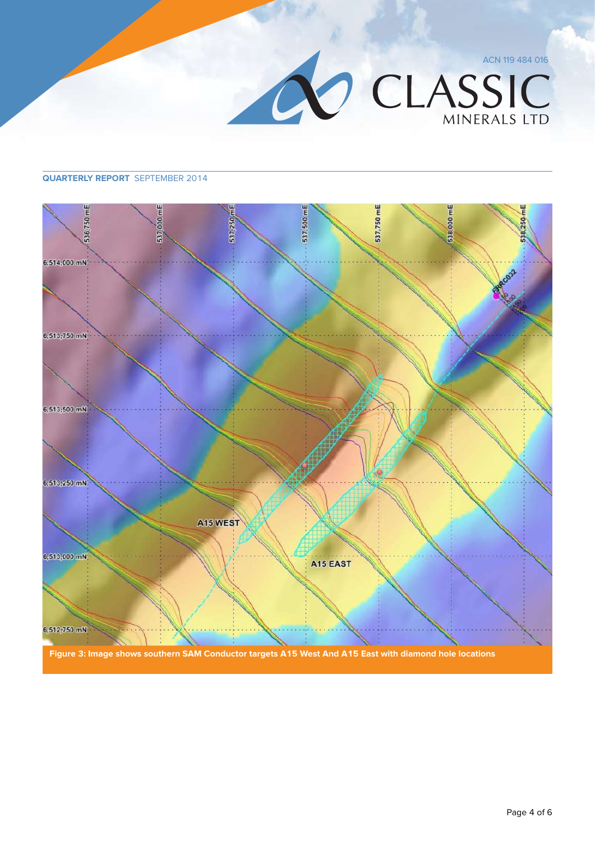

### **Quarterly Report** September 2014

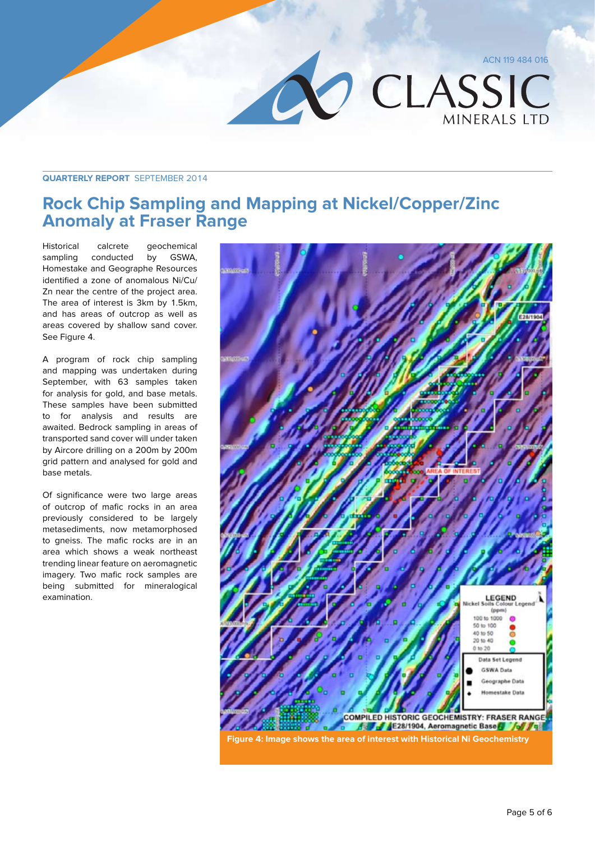

### **Quarterly Report** September 2014

### **Rock Chip Sampling and Mapping at Nickel/Copper/Zinc Anomaly at Fraser Range**

Historical calcrete geochemical sampling conducted by GSWA, Homestake and Geographe Resources identified a zone of anomalous Ni/Cu/ Zn near the centre of the project area. The area of interest is 3km by 1.5km, and has areas of outcrop as well as areas covered by shallow sand cover. See Figure 4.

A program of rock chip sampling and mapping was undertaken during September, with 63 samples taken for analysis for gold, and base metals. These samples have been submitted to for analysis and results are awaited. Bedrock sampling in areas of transported sand cover will under taken by Aircore drilling on a 200m by 200m grid pattern and analysed for gold and base metals.

Of significance were two large areas of outcrop of mafic rocks in an area previously considered to be largely metasediments, now metamorphosed to gneiss. The mafic rocks are in an area which shows a weak northeast trending linear feature on aeromagnetic imagery. Two mafic rock samples are being submitted for mineralogical examination.